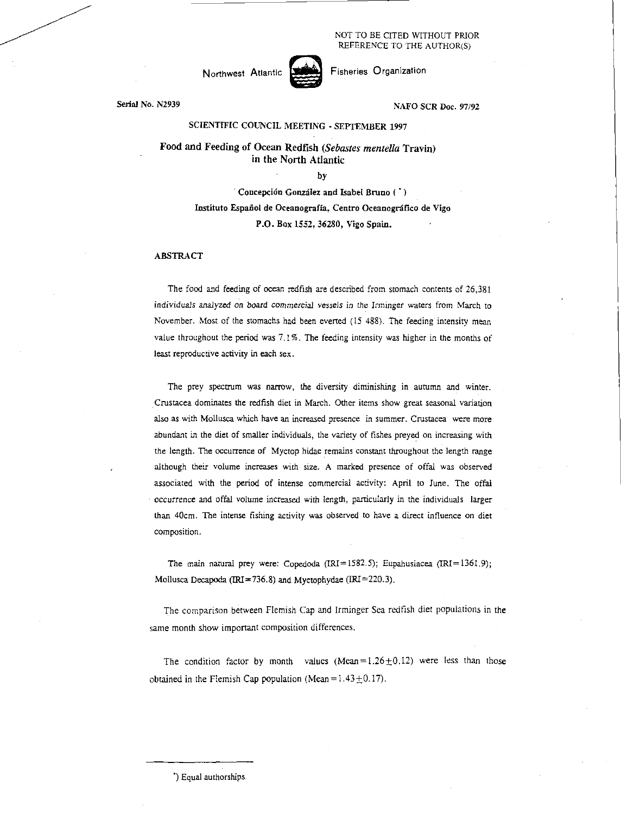NOT TO BE CITED WITHOUT PRIOR REFERENCE TO THE AUTHOR(S)



Northwest Atlantic Fisheries Organization

# SCIENTIFIC COUNCIL MEETING - SEPTEMBER 1997

Food and Feeding of Ocean Redfish *(Sebastes mentella* Travin) in the North Atlantic

by

Concepcion Gonzalez and Isabel Bruno ( • ) Instituto Espanol de Oceanografia, Centro Oceanografico de Vigo P.O. Box 1552, 36280, Vigo Spain.

## ABSTRACT

The food and feeding of ocean redfish are described from stomach contents of 26,381 individuals analyzed *on* board commercial *vessels in* the Irminger waters from March to November. Most of the stomachs had been everted (15 488). The feeding intensity mean value throughout the period was 7.1%. The feeding intensity was higher in the months of least reproductive activity in each sex.

The prey spectrum was narrow, the diversity diminishing in autumn and winter. Crustacea dominates the redfish diet in March. Other items show great seasonal variation also as with Mollusca which have an increased presence in summer. Crustacea were more abundant in the diet of smaller individuals, the variety of fishes preyed on increasing with the length. The occurrence of Myctop hidae remains constant throughout the length range although their volume increases with size. A marked presence of offal was observed associated with the period of intense commercial activity: April to June. The offal occurrence and offal volume increased with length, particularly in the individuals larger than 40cm. The intense fishing activity was observed to have a direct influence on diet composition.

The main natural prey were: Copedoda (IRI=1582.5); Eupahusiacea (IRI=1361.9); Mollusca Decapoda (IRI = 736.8) and Myctophydae (IRI = 220.3).

The comparison between Flemish Cap and Irminger Sea redfish diet populations in the same month show important composition differences.

The condition factor by month values (Mean= $1.26 \pm 0.12$ ) were less than those obtained in the Flemish Cap population (Mean =  $1.43 \pm 0.17$ ).

<sup>\*)</sup> Equal authorships.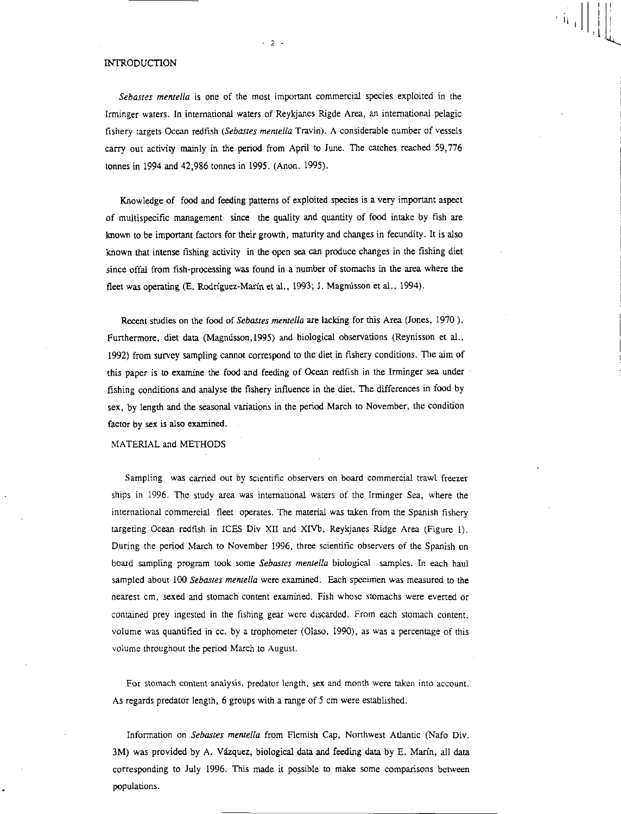## INTRODUCTION

*Sebastes mentella* is one of the most important commercial species exploited in the Irminger waters. In international waters of Reykjanes Rigde Area, an international pelagic fishery targets Ocean redfish *(Sebastes mentella* Travin). A considerable number of vessels carry out activity mainly in the period from April to June. The catches reached 59,776 tonnes in 1994 and 42,986 tonnes in 1995. (Anon. 1995).

 $-2 -$ 

 $\langle \hat{\tilde{W}}_1 \rangle$ 

Knowledge of food and feeding patterns of exploited species is a very important aspect of multispecific management since the quality and quantity of food intake by fish are known to be important factors for their growth, maturity and changes in fecundity. It is also known that intense fishing activity in the open sea can produce changes in the fishing diet since offal from fish-processing was found in a number of stomachs in the area where the fleet was operating (E. Rodríguez-Marín et al., 1993; J. Magnússon et al., 1994).

Recent studies on the food of *Sebastes mentella* are lacking for this Area (Jones, 1970 ). Furthermore, diet data (Magnússon, 1995) and biological observations (Reynisson et al., 1992) from survey sampling cannot correspond to the diet in fishery conditions. The aim of this paper is to examine the food and feeding of Ocean redfish in the Irminger sea under fishing conditions and analyse the fishery influence in the diet. The differences in food by sex, by length and the seasonal variations in the period March to November, the condition factor by sex is also examined.

## MATERIAL and METHODS

Sampling was carried out by scientific observers on board commercial trawl freezer ships in 1996. The study area was international waters of the Irminger Sea, where the international commercial fleet operates. The material was taken from the Spanish fishery targeting Ocean redfish in ICES Div XII and XIVb, Reykjanes Ridge Area (Figure 1). During the period March to November 1996, three scientific observers of the Spanish on board sampling program took some *Sebastes meruella* biological samples. In each haul sampled about 100 *Sebastes mentella* were examined. Each specimen was measured to the nearest cm, sexed and stomach content examined. Fish whose stomachs were everted or contained prey ingested in the fishing gear were discarded. From each stomach content, volume was quantified in cc. by a trophometer (Olaso, 1990), as was a percentage of this volume throughout the period March to August.

For stomach content analysis. predator length, sex and month were taken into account. As regards predator length, 6 groups with a range of 5 cm were established.

Information on *Sebastes mentella* from Flemish Cap, Northwest Atlantic (Nafo Div. 3M) was provided by A. Vazquez, biological data and feeding data by E. Marin, all data corresponding to July 1996. This made it possible to make some comparisons between populations.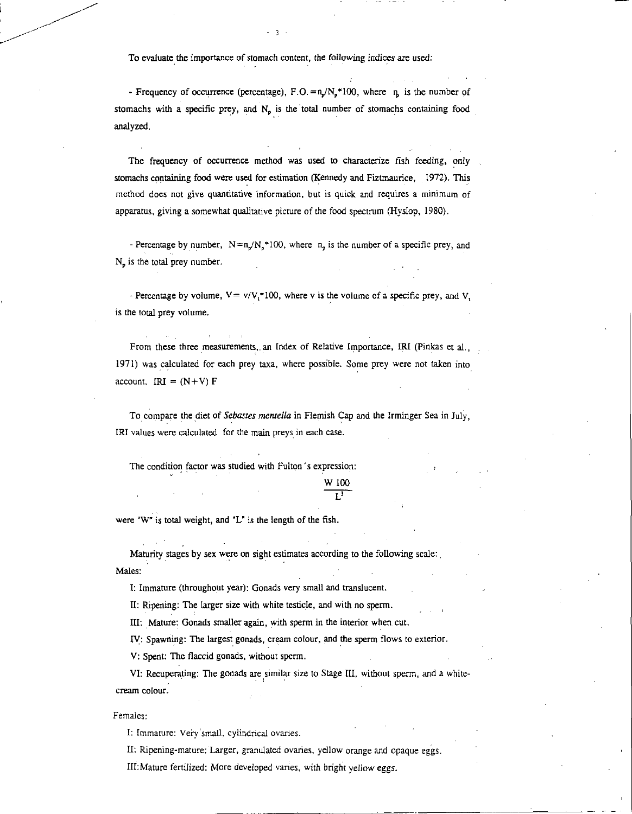To evaluate the importance of stomach content, the following *indices* are used:

- Frequency of occurrence (percentage), F.O. =  $n\sqrt{N_a*100}$ , where  $n_b$  is the number of stomachs with a specific prey, and  $N_p$  is the total number of stomachs containing food analyzed.

The frequency of occurrence method was used to characterize fish feeding, only stomachs containing food were used for estimation (Kennedy and Fiztmaurice, 1972). This method does not give quantitative information, but is quick and requires a minimum of apparatus, giving a somewhat qualitative picture of the food spectrum (Hyslop, 1980).

- Percentage by number,  $N = n_p/N_p * 100$ , where  $n_p$  is the number of a specific prey, and  $N<sub>o</sub>$  is the total prey number.

- Percentage by volume,  $V = v/V$ ,\*100, where v is the volume of a specific prey, and V, is the total prey volume.

From these three measurements, an Index of Relative Importance, IRI (Pinkas et al., 1971) was calculated for each prey taxa, where possible. Some prey were not taken into account.  $IRI = (N+V) F$ 

To compare the diet of *Sebastes mentella* in Flemish Cap and the Irminger Sea in July, IRI values were calculated for the main preys in each case.

The condition factor was studied with Fulton's expression:

# W 100  $\mathbf{L}^*$

were "W" is total weight, and "L" is the length of the fish.

Maturity stages by sex were on sight estimates according to the following scale: Males:

I: Immature (throughout year): Gonads very small and translucent.

II: Ripening: The larger size with white testicle, and with no sperm.

III: Mature: Gonads smaller again, with sperm in the interior when cut.

IV: Spawning: The largest gonads, cream colour, and the sperm flows to exterior.

V: Spent: The flaccid gonads, without sperm.

VI: Recuperating: The gonads are similar size to Stage III, without sperm, and a whitecream colour.

Females:

I: Immature: Very'small, cylindrical ovaries.

II: Ripening-mature: Larger, granulated ovaries, yellow orange and opaque eggs.

III:Mature fertilized: More developed varies, with bright yellow eggs.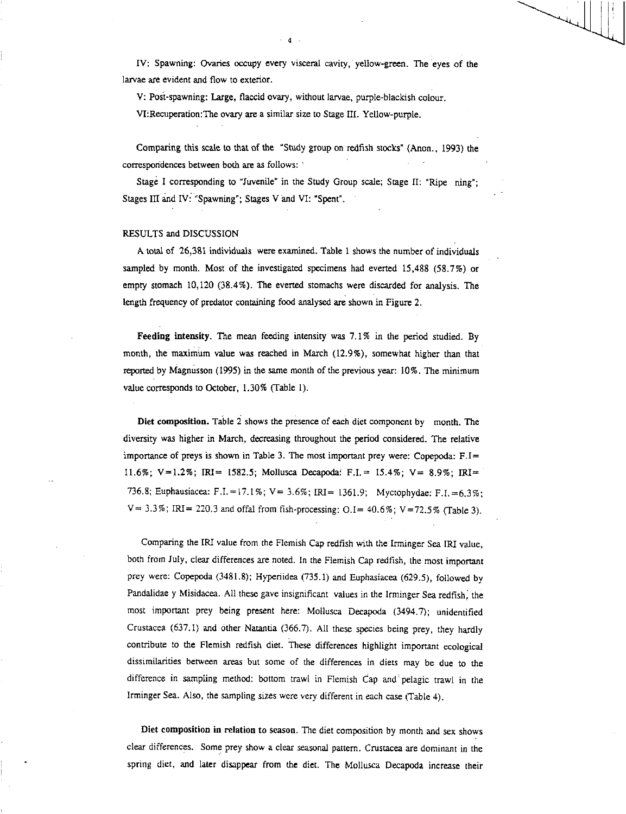IV: Spawning: Ovaries occupy every visceral cavity, yellow-green. The eyes of the larvae are evident and flow to exterior.

V: Post-spawning: Large, flaccid ovary, without larvae, purple-blackish colour.

VI:Recuperation:The ovary are a similar size to Stage III. Yellow-purple.

Comparing this scale to that of the "Study group on redfish stocks" (Anon., 1993) the correspondences between both are as follows:

Stage I corresponding to "Juvenile" in the Study Group scale; Stage II: "Ripe ning"; Stages III and IV: "Spawning"; Stages V and VI: "Spent".

### RESULTS and DISCUSSION

A total of 26,381 individuals were examined. Table 1 shows the number of individuals sampled by month. Most of the investigated specimens had everted 15,488 (58.7%) or empty stomach 10,120 (38.4%). The everted stomachs were discarded for analysis. The length frequency of predator containing food analysed are shown in Figure 2.

Feeding intensity. The mean feeding intensity was 7.1% in the period studied. By month, the maximum value was reached in March (12.9%), somewhat higher than that reported by Magnusson (1995) in the same month of the previous year: 10%. The minimum value corresponds to October, 1.30% (Table 1).

Diet composition. Table 2 shows the presence of each diet component by month. The diversity was higher in March, decreasing throughout the period considered. The relative importance of preys is shown in Table 3. The most important prey were: Copepoda:  $F.I =$ 11.6%; V=1.2%; IRI= 1582.5; Mollusca Decapoda: F.I. = 15.4%; V= 8.9%; IRI= 736.8; Euphausiacea: F.I. =17.1%; V= 3.6%; IRI= 1361.9; Myctophydae: F.I. =6.3 %;  $V = 3.3\%$ ; IRI = 220.3 and offal from fish-processing: 0.1 = 40.6%; V = 72.5% (Table 3).

Comparing the IRI value from the Flemish Cap redfish with the Irminger Sea IRI value, both from July, clear differences are noted. In the Flemish Cap redfish, the most important prey were: Copepoda (3481.8); Hyperiidea (735.1) and Euphasiacea (629.5), followed by Pandalidae y Misidacea. All these gave insignificant values in the Irminger Sea redfish, the most important prey being present here: Mollusca Decapoda (3494.7); unidentified Crustacea (637.1) and other Natantia (366.7). All these species being prey, they hardly contribute to the Flemish redfish diet. These differences highlight important ecological dissimilarities between areas but some of the differences in diets may be due to the difference in sampling method: bottom trawl in Flemish Cap and pelagic trawl in the Irminger Sea. Also, the sampling sizes were very different in each case (Table 4).

Diet composition in relation to season. The diet composition by month and sex shows clear differences. Some prey show a clear seasonal pattern. Crustacea are dominant in the spring diet, and later disappear from the diet. The Mollusca Decapoda increase their

4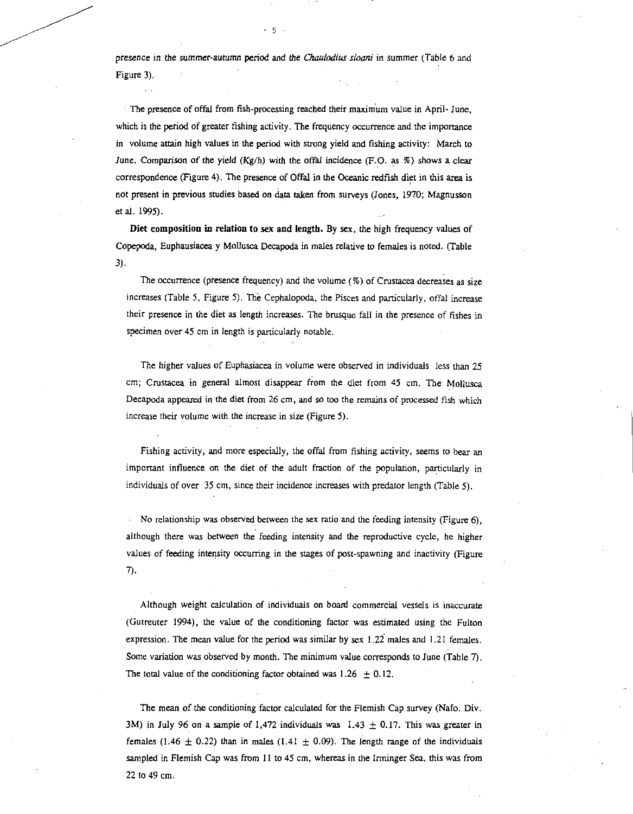*presence in the* summer-autumn period and the *Chaulodius sloani* in summer (Table 6 and Figure 3).

5

The *presence* of offal from fish-processing reached their maximum value in April- June, which is the period of greater fishing activity. The frequency occurrence and the importance in volume attain high values in the period with strong yield and fishing activity: March to June. Comparison of the yield (Kg/h) with the offal incidence (F.O. as %) shows a clear correspondence (Figure 4). The presence of Offal in the Oceanic redfish diet **in this area** is not present in previous studies based on data taken from surveys (Jones, 1970; Magnusson et al. 1995).

**Diet composition in relation to sex and length. By sex,** the high frequency values of Copepoda, Euphausiacea y Mollusca Decapoda in males relative to females is noted. (Table 3).

The occurrence (presence frequency) and the volume (%) of Crustacea decreases as size increases (Table 5, Figure 5). The Cephalopoda, the Pisces and particularly, offal increase their presence in the diet as length increases. The brusque fall in the presence of fishes in specimen over 45 cm in length is particularly notable.

The higher values of Euphasiacea in volume were observed in individuals less than 25 cm; Crustacea in general almost disappear from the diet from 45 cm. The Mollusca Decapoda appeared in the diet from 26 cm, and so too the remains of processed fish which increase their volume with the increase in size (Figure 5).

Fishing activity, and more especially, the offal from fishing activity, seems to bear an important influence on the diet of the adult fraction of the population, particularly in individuals of over 35 cm, since their incidence increases with predator length (Table 5).

No relationship was observed between the sex ratio and the feeding intensity (Figure 6), although there was between the feeding intensity and the reproductive cycle, he higher values of feeding intensity occurring in the stages of post-spawning and inactivity (Figure 7).

Although weight calculation of individuals on board commercial vessels is inaccurate (Gutreuter 1994), the value of the conditioning factor was estimated using the Fulton expression. The mean value for the period was similar by sex 1.22 males and 1.21 females. Some variation was observed by month. The minimum value corresponds to June (Table 7). The total value of the conditioning factor obtained was  $1.26 \pm 0.12$ .

The mean of the conditioning factor calculated for the Flemish Cap survey (Nafo. Div. 3M) in July 96 on a sample of 1,472 individuals was  $1.43 \pm 0.17$ . This was greater in females (1.46  $\pm$  0.22) than in males (1.41  $\pm$  0.09). The length range of the individuals sampled in Flemish Cap was from 11 to 45 cm, whereas in the Irminger Sea, this was from 22 to 49 cm.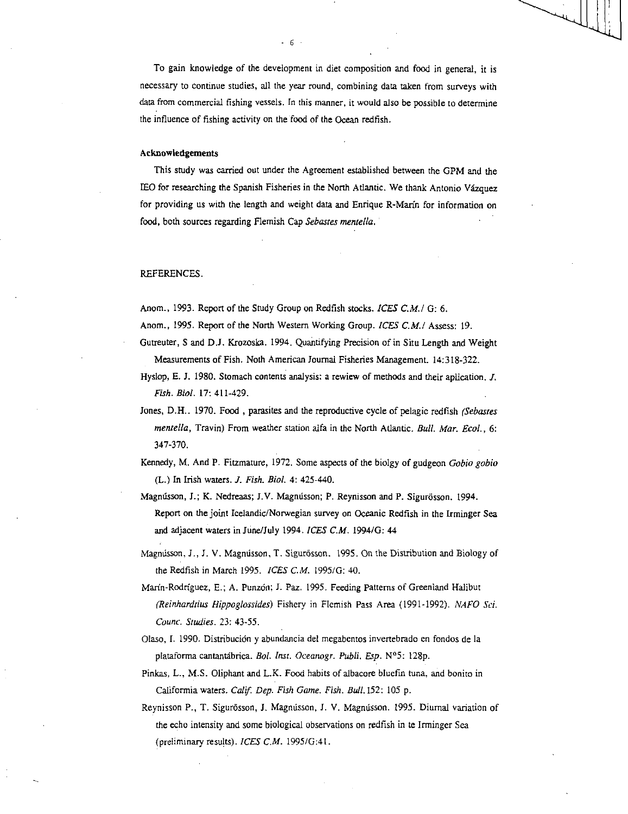To gain knowledge of the development in diet composition and food in general, it is necessary to continue studies, all the year round, combining data taken from surveys with data from commercial fishing vessels. In this manner, it would also be possible to determine the influence of fishing activity on the food of the Ocean redfish.

#### Acknowledgements

This study was carried out under the Agreement established between the GPM and the 1E0 for researching the Spanish Fisheries in the North Atlantic. We thank Antonio Vazquez for providing us with the length and weight data and Enrique R-Marin for information on food, both sources regarding Flemish Cap *Sebastes mentella.* 

#### REFERENCES.

Anom., 1993. Report of the Study Group on Redfish stocks. *ICES C.M.I* G: 6.

Anom., 1995. Report of the North Western Working Group. *ICES C.M.I* Assess: 19.

- Gutreuter, S and D.J. Krozoska. 1994. Quantifying Precision of in Situ Length and Weight Measurements of Fish. Noth American Journal Fisheries Management. 14:318-322.
- Hyslop, E. J. 1980. Stomach contents analysis: a rewiew of methods and their aplication../. *Fish. Biol.* 17: 411-429.
- Jones, D.H.. 1970. Food , parasites and the reproductive cycle of pelagic redfish *(Sebastes mentella,* Travin) From weather station alfa in the North Atlantic. *Bull. Mar. Ecol.,* 6: 347-370.
- Kennedy, M. And P. Fitzmature, 1972. Some aspects of the biolgy of gudgeon *Gobio gobio* (L.) In Irish waters. *J. Fish. Biol.* 4: 425-440.
- Magnússon, J.; K. Nedreaas; J.V. Magnússon; P. Reynisson and P. Sigurösson. 1994. Report on the joint Icelandic/Norwegian survey on Oceanic Redfish in the Irminger Sea and adjacent waters in June/July 1994. *ICES C.M.* 1994/G: 44
- Magnússon, J., J. V. Magnússon, T. Sigurösson. 1995. On the Distribution and Biology of the Redfish in March 1995. *ICES C.M.* 1995/G: 40.
- Marín-Rodríguez, E.; A. Punzón; J. Paz. 1995. Feeding Patterns of Greenland Halibut *(Reinhardtius Hippoglossides)* Fishery in Flemish Pass Area (1991-1992). *NAFO Sci. Counc. Studies.* 23: 43-55.
- Olaso, I. 1990. Distribucidn y abundancia del megabentos invertebrado en fondos de la plataforma cantantabrica. *Bol. last. Oceanogr. Publi. Esp.* N°5: 128p.
- Pinkas, L., M.S. Oliphant and L.K. Food habits of albacore bluefin tuna, and bonito in Califormia waters. *Calif. Dep. Fish Game. Fish. Bull.152:* 105 p.
- Reynisson P., T. Sigurösson, J. Magnússon, J. V. Magnússon. 1995. Diurnal variation of the echo intensity and some biological observations on redfish in to Irminger Sea (preliminary results). *ICES C.M.* 1995/G:41.

 $-6 -$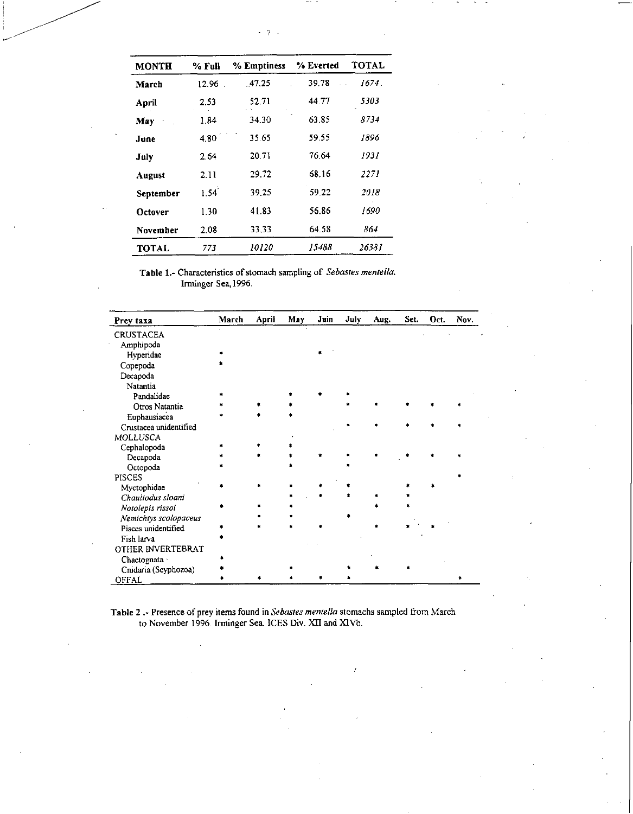| <b>MONTH</b> | % Full | % Emptiness  | % Everted | <b>TOTAL</b> |
|--------------|--------|--------------|-----------|--------------|
| March        | 12.96  | .47.25       | 39.78     | 1674.        |
| April        | 2.53   | 52.71        | 44.77     | 5303         |
| May          | 1.84   | 34.30        | 63.85     | 8734         |
| June         | 4.80   | 35.65        | 59.55     | 1896         |
| July         | 2.64   | 20.71        | 76.64     | 1931         |
| August       | 2.11   | 29.72        | 68.16     | 2271         |
| September    | 1.54   | 39.25        | 59.22     | 2018         |
| Octover      | 1.30   | 41.83        | 56.86     | 1690         |
| November     | 2.08   | 33.33        | 64.58     | 864          |
| <b>TOTAL</b> | 773    | <i>10120</i> | 15488     | 26381        |

Table 1.- Characteristics of stomach sampling of *Sebastes mentella.*  Irminger Sea,1996.

| Prey taxa              | March | April | May | Juin | July | Aug. | Set. | Oct. | Nov. |
|------------------------|-------|-------|-----|------|------|------|------|------|------|
| <b>CRUSTACEA</b>       |       |       |     |      |      |      |      |      |      |
| Amphipoda              |       |       |     |      |      |      |      |      |      |
| Hyperidae              |       |       |     |      |      |      |      |      |      |
| Copepoda               |       |       |     |      |      |      |      |      |      |
| Decapoda               |       |       |     |      |      |      |      |      |      |
| Natantia               |       |       |     |      |      |      |      |      |      |
| Pandalidae             |       |       |     |      |      |      |      |      |      |
| Otros Natantia         |       |       |     |      |      |      |      |      |      |
| Euphausiacea           |       |       |     |      |      |      |      |      |      |
| Crustacea unidentified |       |       |     |      |      |      |      |      |      |
| <b>MOLLUSCA</b>        |       |       |     |      |      |      |      |      |      |
| Cephalopoda            |       |       |     |      |      |      |      |      |      |
| Decapoda               |       |       |     |      |      |      |      |      |      |
| Octopoda               |       |       |     |      |      |      |      |      |      |
| <b>PISCES</b>          |       |       |     |      |      |      |      |      |      |
| Myctophidae            |       |       |     |      |      |      |      |      |      |
| Chauliodus sloani      |       |       |     |      |      |      |      |      |      |
| Notolepis rissoi       |       |       |     |      |      |      |      |      |      |
| Nemichtys scolopaceus  |       |       |     |      |      |      |      |      |      |
| Pisces unidentified    |       |       |     |      |      |      |      |      |      |
| Fish larva             |       |       |     |      |      |      |      |      |      |
| OTHER INVERTEBRAT      |       |       |     |      |      |      |      |      |      |
| Chaetognata ·          |       |       |     |      |      |      |      |      |      |
| Cnidaria (Scyphozoa)   |       |       |     |      |      |      |      |      |      |
| OFFAL                  |       |       |     |      |      |      |      |      |      |

Table 2 .- Presence of prey items found in *Sebastes rnentella* stomachs sampled from March to November 1996. Irminger Sea. ICES Div. XII and XIVb.

7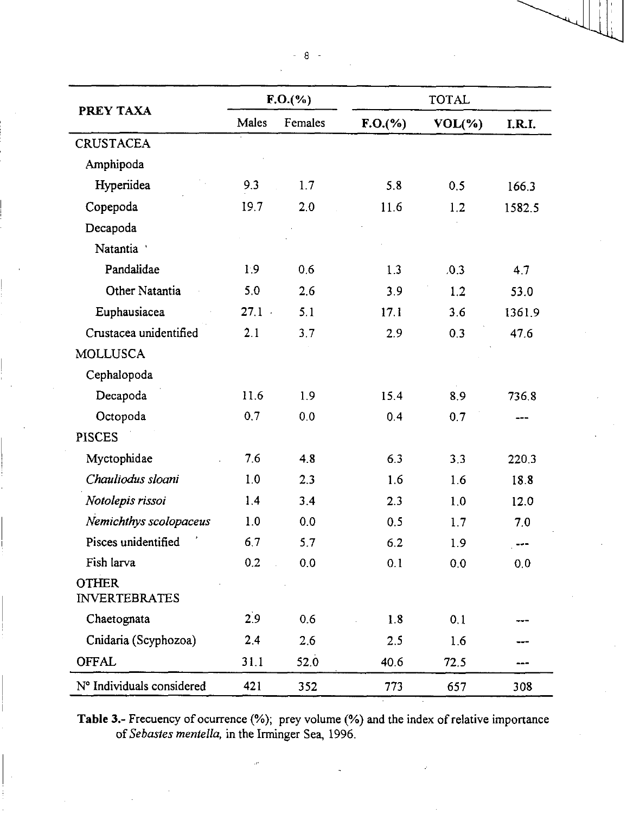|                                      |          | $F. O.$ (%) | TOTAL       |           |        |  |
|--------------------------------------|----------|-------------|-------------|-----------|--------|--|
| PREY TAXA                            | Males    | Females     | $F. O.$ (%) | $VOL(\%)$ | I.R.I. |  |
| <b>CRUSTACEA</b>                     |          |             |             |           |        |  |
| Amphipoda                            |          |             |             |           |        |  |
| Hyperiidea                           | 9.3      | 1.7         | 5.8         | 0.5       | 166.3  |  |
| Copepoda                             | 19.7     | 2.0         | 11.6        | 1.2       | 1582.5 |  |
| Decapoda                             |          |             |             |           |        |  |
| Natantia                             |          |             |             |           |        |  |
| Pandalidae                           | 1.9      | 0.6         | 1.3         | .0.3      | 4.7    |  |
| Other Natantia                       | 5.0      | 2.6         | 3.9         | 1.2       | 53.0   |  |
| Euphausiacea                         | $27.1 -$ | 5.1         | 17.1        | 3.6       | 1361.9 |  |
| Crustacea unidentified               | 2.1      | 3.7         | 2.9         | 0.3       | 47.6   |  |
| <b>MOLLUSCA</b>                      |          |             |             |           |        |  |
| Cephalopoda                          |          |             |             |           |        |  |
| Decapoda                             | 11.6     | 1.9         | 15.4        | 8.9       | 736.8  |  |
| Octopoda                             | 0.7      | 0.0         | 0.4         | 0.7       |        |  |
| <b>PISCES</b>                        |          |             |             |           |        |  |
| Myctophidae                          | 7.6      | 4.8         | 6.3         | 3.3       | 220.3  |  |
| Chauliodus sloani                    | 1.0      | 2.3         | 1.6         | 1.6       | 18.8   |  |
| Notolepis rissoi                     | 1.4      | 3.4         | 2.3         | 1,0       | 12.0   |  |
| Nemichthys scolopaceus               | 1.0      | 0.0         | 0.5         | 1.7       | 7.0    |  |
| Pisces unidentified                  | 6.7      | 5.7         | 6.2         | 1.9       | ---    |  |
| Fish larva                           | 0.2      | 0.0         | 0.1         | 0.0       | 0.0    |  |
| <b>OTHER</b><br><b>INVERTEBRATES</b> |          |             |             |           |        |  |
| Chaetognata                          | 2.9      | 0.6         | 1.8         | 0.1       |        |  |
| Cnidaria (Scyphozoa)                 | 2.4      | 2.6         | 2.5         | 1.6       |        |  |
| <b>OFFAL</b>                         | 31.1     | 52.0        | 40.6        | 72.5      |        |  |
| N° Individuals considered            | 421      | 352         | 773         | 657       | 308    |  |

**Table 3.-** Frecuency of ocurrence (%); prey volume (%) and the index of relative importance of *Sebasies mentella,* in the Irminger Sea, 1996.

8 -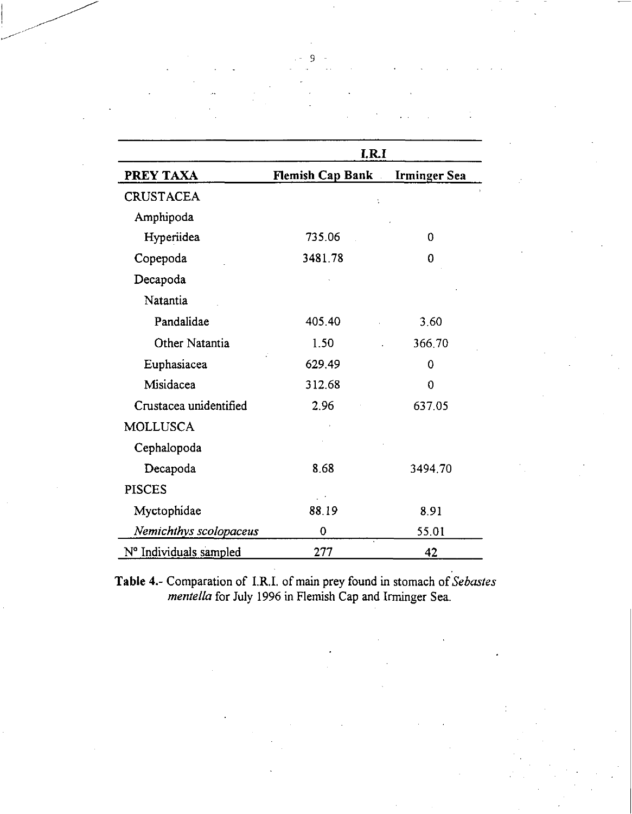|                        | I.R.I                   |                     |  |  |  |  |
|------------------------|-------------------------|---------------------|--|--|--|--|
| PREY TAXA              | <b>Flemish Cap Bank</b> | <b>Irminger Sea</b> |  |  |  |  |
| <b>CRUSTACEA</b>       | $\ddot{\phantom{a}}$    |                     |  |  |  |  |
| Amphipoda              |                         |                     |  |  |  |  |
| Hyperiidea             | 735.06                  | 0                   |  |  |  |  |
| Copepoda               | 3481.78                 | 0                   |  |  |  |  |
| Decapoda               |                         |                     |  |  |  |  |
| Natantia               |                         |                     |  |  |  |  |
| Pandalidae             | 405.40                  | 3.60                |  |  |  |  |
| Other Natantia         | 1.50                    | 366,70              |  |  |  |  |
| Euphasiacea            | 629.49                  | 0                   |  |  |  |  |
| Misidacea              | 312.68                  | 0                   |  |  |  |  |
| Crustacea unidentified | 2.96                    | 637.05              |  |  |  |  |
| <b>MOLLUSCA</b>        |                         |                     |  |  |  |  |
| Cephalopoda            |                         |                     |  |  |  |  |
| Decapoda               | 8.68                    | 3494.70             |  |  |  |  |
| <b>PISCES</b>          |                         |                     |  |  |  |  |
| Myctophidae            | 88.19                   | 8.91                |  |  |  |  |
| Nemichthys scolopaceus | 0                       | 55.01               |  |  |  |  |
| N° Individuals sampled | 277                     | 42                  |  |  |  |  |

**Table 4.-** Comparation of I.R.I. of main prey found in stomach of *Sebastes mentella* for July 1996 in Flemish Cap and Irminger Sea.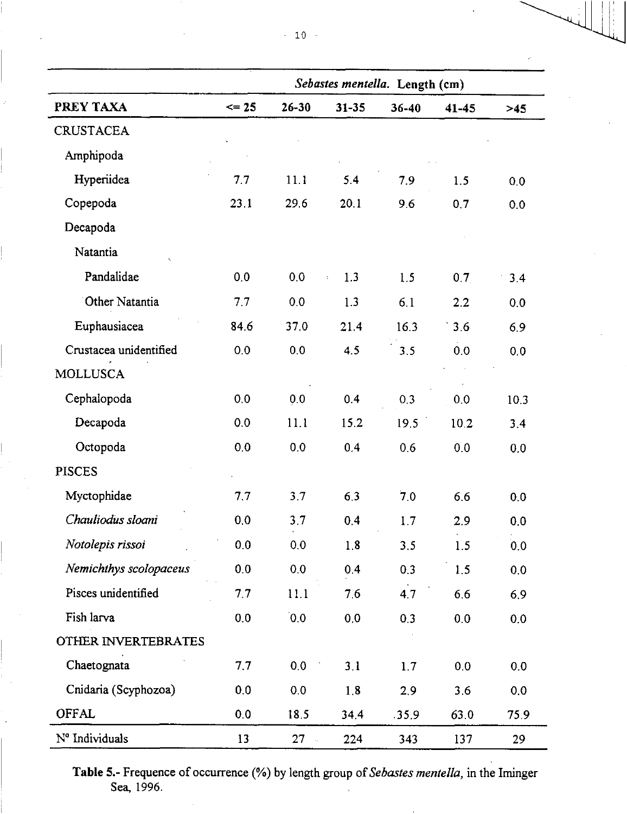|  | $-10 -$ |  |  |
|--|---------|--|--|
|  |         |  |  |

|                        | Sebastes mentella. Length (cm) |           |           |                  |           |      |
|------------------------|--------------------------------|-----------|-----------|------------------|-----------|------|
| PREY TAXA              | $\leq$ 25                      | $26 - 30$ | $31 - 35$ | $36 - 40$        | $41 - 45$ | >45  |
| <b>CRUSTACEA</b>       |                                |           |           |                  |           |      |
| Amphipoda              |                                |           |           |                  |           |      |
| Hyperiidea             | 7.7                            | 11.1      | 5.4       | 7.9              | 1.5       | 0.0  |
| Copepoda               | 23.1                           | 29.6      | 20.1      | 9.6              | 0.7       | 0.0  |
| Decapoda               |                                |           |           |                  |           |      |
| Natantia               |                                |           |           |                  |           |      |
| Pandalidae             | 0,0                            | 0.0       | 1.3<br>ť. | 1.5              | 0.7       | 3.4  |
| Other Natantia         | 7.7                            | 0.0       | 1.3       | 6.1              | 2.2       | 0.0  |
| Euphausiacea           | 84.6                           | 37.0      | 21.4      | 16.3             | 3.6       | 6.9  |
| Crustacea unidentified | 0.0                            | 0.0       | 4.5       | 3.5              | 0.0       | 0.0  |
| <b>MOLLUSCA</b>        |                                |           |           |                  |           |      |
| Cephalopoda            | 0,0                            | 0.0       | 0.4       | 0.3              | 0.0       | 10.3 |
| Decapoda               | 0.0                            | 11.1      | 15.2      | 19.5             | 10.2      | 3.4  |
| Octopoda               | 0.0                            | 0.0       | 0.4       | 0.6              | 0.0       | 0.0  |
| <b>PISCES</b>          |                                |           |           |                  |           |      |
| Myctophidae            | 7.7                            | 3.7       | 6.3       | 70               | 6.6       | 0.0  |
| Chauliodus sloani      | 0,0                            | 3.7       | 0.4       | 1.7              | 2.9       | 0.0  |
| Notolepis rissoi       | 0.0                            | 0.0       | 1.8       | 3.5              | 1.5       | 0.0  |
| Nemichthys scolopaceus | 0.0                            | 0.0       | 0.4       | 0.3              | 1.5       | 0.0  |
| Pisces unidentified    | 7.7                            | 11.1      | 7.6       | $\overline{4.7}$ | 6.6       | 6.9  |
| Fish larva             | 0.0                            | 0.0       | 0,0       | 0.3              | 0.0       | 0.0  |
| OTHER INVERTEBRATES    |                                |           |           |                  |           |      |
| Chaetognata            | 7.7                            | 0.0       | 3.1       | 1.7              | 0.0       | 0.0  |
| Cnidaria (Scyphozoa)   | 0.0                            | 0.0       | 1.8       | 2.9              | 3.6       | 0.0  |
| <b>OFFAL</b>           | 0.0                            | 18.5      | 34.4      | .35.9            | 63.0      | 75.9 |
| Nº Individuals         | 13                             | $27 -$    | 224       | 343              | 137       | 29   |

Table 5.- Frequence of occurrence (%) by length group of *Sebastes mentella,* in the Iminger Sea, 1996.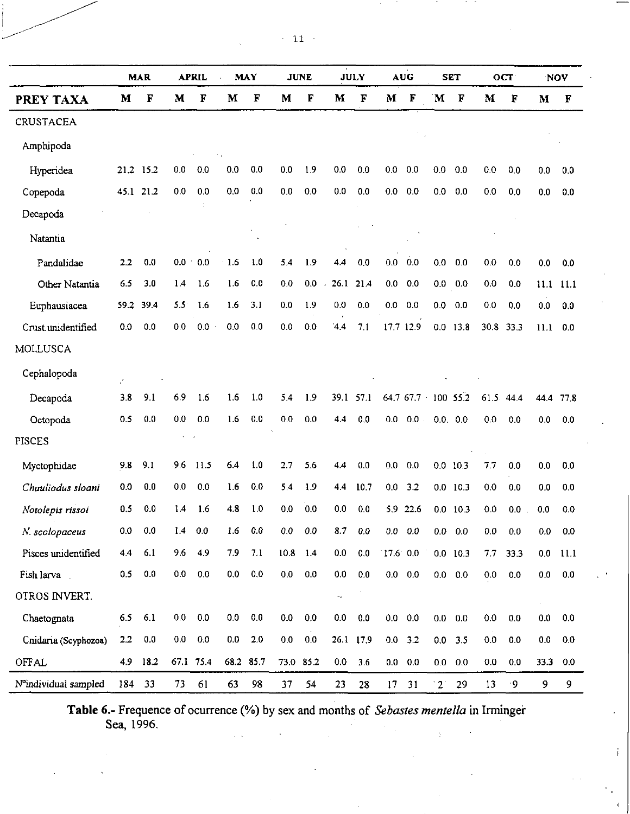| -3 |
|----|
|----|

|                      |           | <b>MAR</b>     |                                    | <b>APRIL</b> |         | <b>MAY</b> |         | <b>JUNE</b> |                          | <b>JULY</b>  |                 | <b>AUG</b>      |                     | <b>SET</b>      |             | <b>OCT</b> |      | <b>NOV</b> |
|----------------------|-----------|----------------|------------------------------------|--------------|---------|------------|---------|-------------|--------------------------|--------------|-----------------|-----------------|---------------------|-----------------|-------------|------------|------|------------|
| PREY TAXA            | M         | F              | M                                  | F            | M       | F          | M       | F           | M                        | $\mathbf{F}$ | M               | F               | M                   | $\mathbf F$     | $\mathbf M$ | F          | M    | F          |
| CRUSTACEA            |           |                |                                    |              |         |            |         |             |                          |              |                 |                 |                     |                 |             |            |      |            |
| Amphipoda            |           |                |                                    |              |         |            |         |             |                          |              |                 |                 |                     |                 |             |            |      |            |
| Hyperidea            | 21.2 15.2 |                | 0.0                                | 0.0          | 0.0     | 0.0        | 0.0     | 1.9         | 0.0                      | 0.0          | 0.0             | 0.0             | 0.0                 | 0.0             | 0.0         | 0.0        | 0.0  | 0.0        |
| Copepoda             | 45.1 21.2 |                | 0.0                                | 0.0          | 0,0     | 0.0        | 0.0     | 0.0         | 0.0                      | 0.0          | 0.0             | 0.0             | 0.0                 | 0.0             | 0.0         | 0.0        | 0.0  | 0.0        |
| Decapoda             |           |                |                                    |              |         |            |         |             |                          |              |                 |                 |                     |                 |             |            |      |            |
| Natantia             |           |                |                                    |              |         |            |         |             |                          |              |                 |                 |                     |                 |             |            |      |            |
| Pandalidae           | 2.2       | 0.0            | 0.0<br>$\hat{\boldsymbol{\theta}}$ | 0.0          | 1.6     | 1.0        | 5.4     | 1.9         | 4.4                      | 0.0          | 0.0             | 0.0             | 0.0                 | 0.0             | 0.0         | 0.0        | 0.0  | 0.0        |
| Other Natantia       | 6.5       | 3.0            | 1.4                                | 1.6          | 1.6     | 0.0        | 0.0     | 0.0         | 26.1                     | 214          | 0.0             | 0.0             | 0.0                 | 0.0             | 0.0         | 0.0        | 11.1 | 11.1       |
| Euphausiacea         | 59.2      | 39.4           | $5.5^{\circ}$                      | 1.6          | 1.6     | 3.1        | 0.0     | 1.9         | 0,0                      | 0.0          | 0.0             | 0.0             | 0.0                 | 0.0             | $0.0\,$     | 0.0        | 0.0  | 0.0        |
| Crust unidentified   | 0.0       | 0.0            | 0.0                                | 0.0          | 0.0     | 0.0        | 0.0     | 0.0         | 4.4                      | 7.1          |                 | 17.7 12.9       | 0.0                 | 13.8            | 30.8        | 33.3       | 11.1 | 0.0        |
| <b>MOLLUSCA</b>      |           |                |                                    |              |         |            |         |             |                          |              |                 |                 |                     |                 |             |            |      |            |
| Cephalopoda          | è,        |                |                                    |              |         |            |         |             |                          |              |                 |                 |                     |                 |             |            |      |            |
| Decapoda             | 3.8       | 9.1            | 6.9                                | 1.6          | 1.6     | 1.0        | $5.4\,$ | 1.9         | 39.1                     | 57.1         |                 | 64.7 67.7       |                     | 100 55.2        | 61.5        | 44.4       | 44.4 | 77.8       |
| Octopoda             | 0.5       | 0.0            | 0.0                                | 0.0          | 1.6     | 0.0        | 0.0     | 0.0         | 4.4                      | 0.0          | 0.0             | 0.0             |                     | 0.0 0.0         | 0.0         | 0.0        | 0,0  | 0.0        |
| <b>PISCES</b>        |           |                | ¥                                  | $\epsilon$   |         |            |         |             |                          |              |                 |                 |                     |                 |             |            |      |            |
| Myctophidae          | 9.8       | 9.1            | 9.6                                | 11.5         | 6.4     | 1.0        | 2.7     | 5.6         | 4.4                      | 0.0          | 0.0             | 0.0             | 0.0                 | 10.3            | 7.7         | 0.0        | 0.0  | 0.0        |
| Chauliodus sloani    | 0.0       | 0.0            | 0.0                                | 0.0          | 1.6     | 0.0        | 5,4     | 1.9         | 4.4                      | 10.7         | 0.0             | 3.2             |                     | $0.0$ 10.3      | 0.0         | 0.0        | 0.0  | 0,0        |
| Notolepis rissoi     | 0.5       | 0.0            | 1.4                                | 1.6          | 4.8     | 1.0        | 0.0     | 0.0         | 0.0                      | 0.0          | 5.9             | 22.6            | 0.0                 | 10.3            | 0.0         | 0.0        | 0.0  | 0.0        |
| N. scolopaceus       | 0.0       | 0.0            | 1.4                                | 0.0          | 1.6     | 0.0        | $0.0\,$ | 0.0         | 8.7                      | 0.0          | $0.0\,$         | 0.0             |                     | 0.0 0.0         | 0.0         | 0.0        | 0.0  | 0.0        |
| Pisces unidentified  | 4.4       | 6.1            | 9.6                                | 4.9          | 7.9     | 7.1        | 10.8    | 14          | $0.0\,$                  | $0.0\,$      | 17.6 0.0        |                 |                     | $0.0$ 10.3      | 7.7         | 33.3       | 0.0  | 11.1       |
| Fish larva           | 0.5       | $0.0\,$        | $0.0\,$                            | $0.0\,$      | $0.0\,$ | $0.0\,$    | $0.0\,$ | $0.0\,$     | 0.0                      | $0.0\,$      | 0.0             | 0.0             |                     | $0.0 \quad 0.0$ | $0.0\,$     | $0.0\,$    | 0.0  | 0.0        |
| OTROS INVERT.        |           |                |                                    |              |         |            |         |             | $\mathbf{u}_\mathrm{in}$ |              |                 |                 |                     |                 |             |            |      |            |
| Chaetognata          |           | $6.5\quad 6.1$ | 0.0                                | 0.0          | $0.0\,$ | 0.0        | $0.0\,$ | 0.0         | 0.0                      | 0.0          |                 | $0.0 \quad 0.0$ |                     | $0.0\ 0.0$      | 0.0         | $0.0\,$    | 0.0  | 0.0        |
| Cnidaria (Scyphozoa) | $2.2\,$   | 0.0            | 0.0                                | 0.0          | 0.0     | 2.0        | 0.0     | 0.0         |                          | 26.1 17.9    |                 | 0.0 3.2         |                     | $0.0$ 3.5       | $0.0\,$     | 0.0        | 0.0  | 0.0        |
| <b>OFFAL</b>         | 4.9       | 18.2           |                                    | 67.1 75.4    |         | 68.2 85.7  |         | 73.0 85.2   | 0.0                      | 3.6          |                 | $0.0 \quad 0.0$ |                     | $0.0 \quad 0.0$ | 0.0         | 0.0        | 33.3 | 0.0        |
| N°individual sampled | 184       | 33             | 73                                 | 61           | 63      | 98         | 37      | 54          | 23                       | 28           | 17 <sup>2</sup> | 31              | $^{\circ}2^{\circ}$ | 29              | 13          | -9         | 9    | 9          |

Table 6.- Frequence of ocurrence (%) by sex and months of *Sebastes mentella* in Irminger Sea, 1996.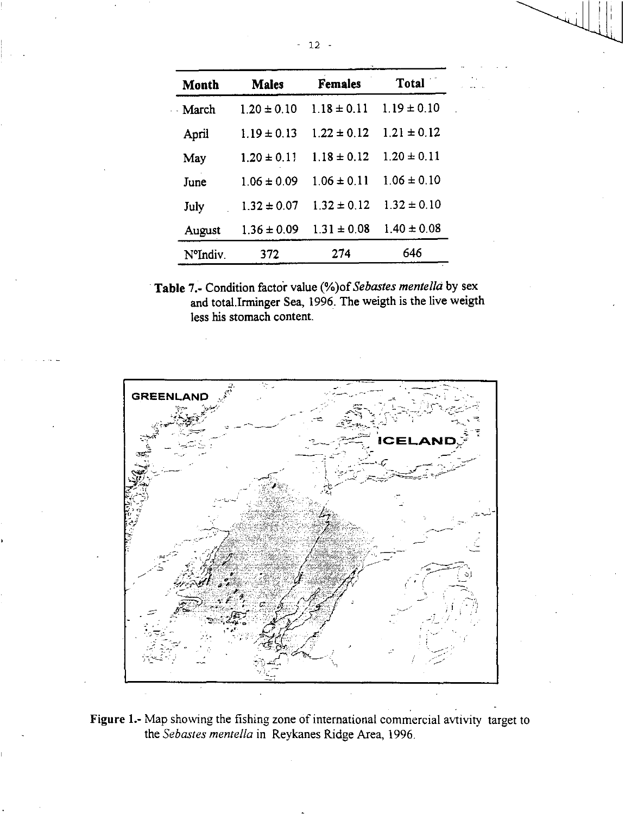| Month    | <b>Males</b>    | <b>Females</b>  | <b>Total</b>    |
|----------|-----------------|-----------------|-----------------|
| · March  | $1.20 \pm 0.10$ | $1.18 \pm 0.11$ | $1.19 \pm 0.10$ |
| April    | $1.19 \pm 0.13$ | $1.22 \pm 0.12$ | $1.21 \pm 0.12$ |
| May      | $1.20 \pm 0.11$ | $1.18 \pm 0.12$ | $1.20 \pm 0.11$ |
| June     | $1.06 \pm 0.09$ | $1.06 \pm 0.11$ | $1.06 \pm 0.10$ |
| July     | $1.32 \pm 0.07$ | $1.32 \pm 0.12$ | $1.32 \pm 0.10$ |
| August   | $1.36 \pm 0.09$ | $1.31 \pm 0.08$ | $1.40 \pm 0.08$ |
| N°Indiv. | 372             | 274             | 646             |

| Table 7.- Condition factor value (%) of Sebastes mentella by sex |
|------------------------------------------------------------------|
| and total.Irminger Sea, 1996. The weigth is the live weigth      |
| less his stomach content.                                        |



Figure 1.- Map showing the fishing zone of international commercial avtivity target to the *Sebastes mentella* in Reykanes Ridge Area, 1996.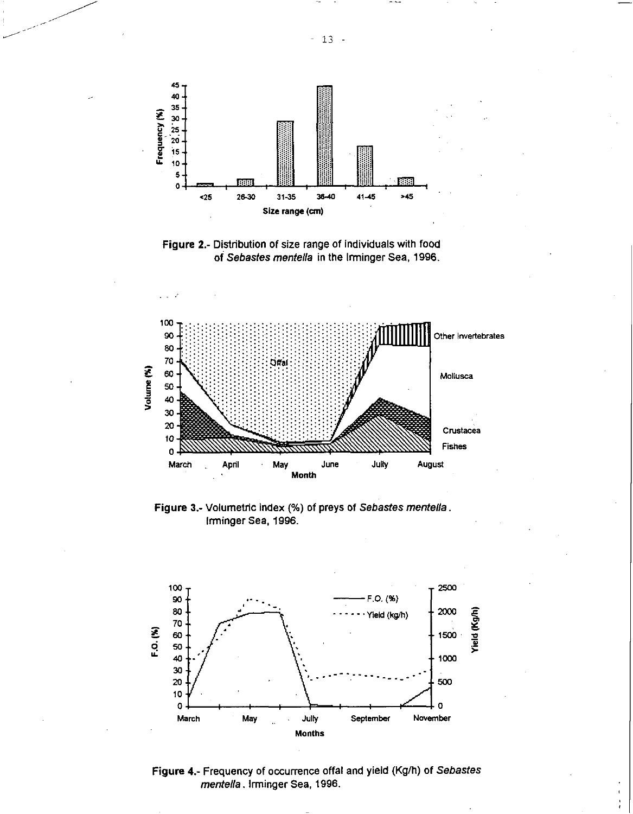

**Figure 2.-** Distribution of size range of individuals with food of *Sebastes mentella* in the Irminger Sea, 1996.



**Figure 3.-** Volumetric index (%) of preys of *Sebastes mentella.*  Irminger Sea, 1996.



**Figure** 4.- Frequency of occurrence offal and yield (Kg/h) of *Sebastes mentella.* Irminger Sea, 1996.

- 13 -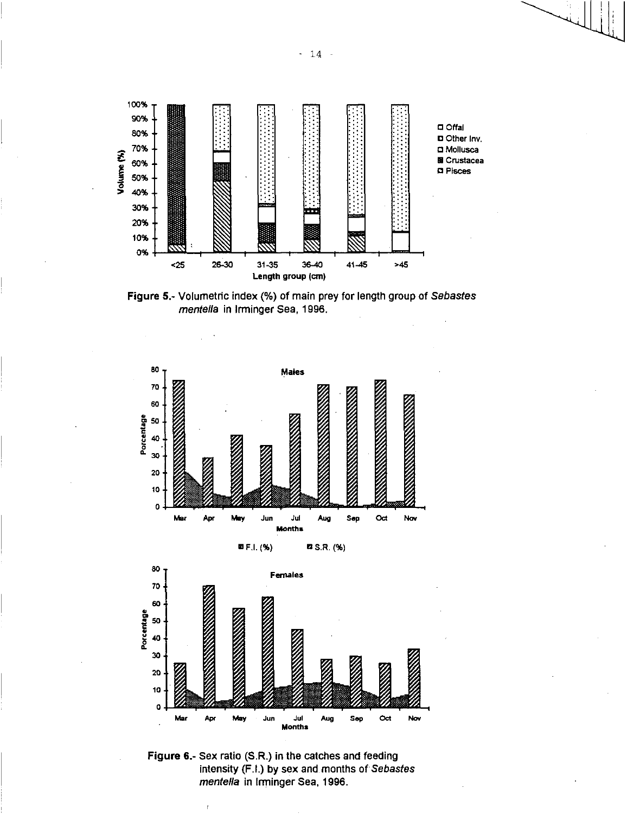

Figure 5.- Volumetric index (%) of main prey for length group of *Sebastes mentella* in Irminger Sea, 1996.





Figure 6.- Sex ratio (S.R.) in the catches and feeding intensity (F.I.) by sex and months of *Sebastes mentella* in Irminger Sea, 1996.

 $\bar{1}$